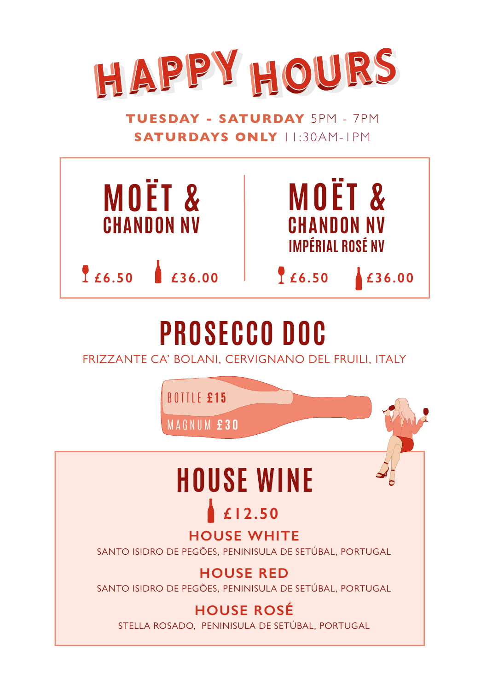

**WEDNESDAY - FRIDAY** 5-7PM **TUESDAY - SATURDAY** 5PM - 7PM **WEDNESDAY - FRIDAY** 5-7PM **SATURDAYS ONLY** II:30AM-IPM



## **PROSECCO DOC PROSECCO DOC**

FRIZZANTE CA' BOLANI, CERVIGNANO DEL FRUILI, ITALY FRIZZANTE CA' BOLANI, CERVIGNANO DEL FRUILI, ITALY